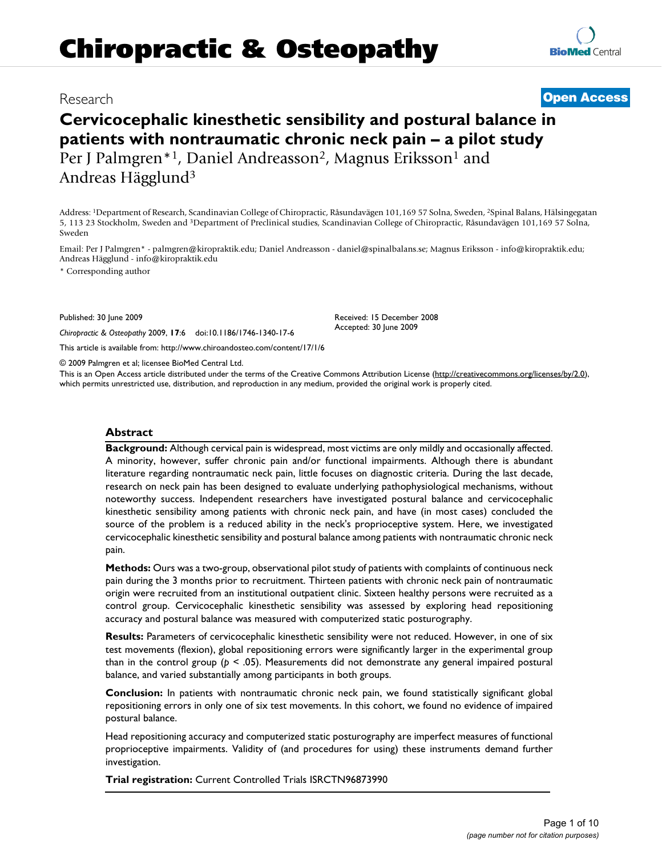# **Chiropractic & Osteopathy**

# Research **[Open Access](http://www.biomedcentral.com/info/about/charter/)**

# **Cervicocephalic kinesthetic sensibility and postural balance in patients with nontraumatic chronic neck pain – a pilot study** Per J Palmgren\*<sup>1</sup>, Daniel Andreasson<sup>2</sup>, Magnus Eriksson<sup>1</sup> and Andreas Hägglund3

Address: 1Department of Research, Scandinavian College of Chiropractic, Råsundavägen 101,169 57 Solna, Sweden, 2Spinal Balans, Hälsingegatan 5, 113 23 Stockholm, Sweden and 3Department of Preclinical studies, Scandinavian College of Chiropractic, Råsundavägen 101,169 57 Solna, Sweden

Email: Per J Palmgren\* - palmgren@kiropraktik.edu; Daniel Andreasson - daniel@spinalbalans.se; Magnus Eriksson - info@kiropraktik.edu; Andreas Hägglund - info@kiropraktik.edu

\* Corresponding author

Published: 30 June 2009

*Chiropractic & Osteopathy* 2009, **17**:6 doi:10.1186/1746-1340-17-6

[This article is available from: http://www.chiroandosteo.com/content/17/1/6](http://www.chiroandosteo.com/content/17/1/6)

© 2009 Palmgren et al; licensee BioMed Central Ltd.

This is an Open Access article distributed under the terms of the Creative Commons Attribution License [\(http://creativecommons.org/licenses/by/2.0\)](http://creativecommons.org/licenses/by/2.0), which permits unrestricted use, distribution, and reproduction in any medium, provided the original work is properly cited.

Received: 15 December 2008 Accepted: 30 June 2009

#### **Abstract**

**Background:** Although cervical pain is widespread, most victims are only mildly and occasionally affected. A minority, however, suffer chronic pain and/or functional impairments. Although there is abundant literature regarding nontraumatic neck pain, little focuses on diagnostic criteria. During the last decade, research on neck pain has been designed to evaluate underlying pathophysiological mechanisms, without noteworthy success. Independent researchers have investigated postural balance and cervicocephalic kinesthetic sensibility among patients with chronic neck pain, and have (in most cases) concluded the source of the problem is a reduced ability in the neck's proprioceptive system. Here, we investigated cervicocephalic kinesthetic sensibility and postural balance among patients with nontraumatic chronic neck pain.

**Methods:** Ours was a two-group, observational pilot study of patients with complaints of continuous neck pain during the 3 months prior to recruitment. Thirteen patients with chronic neck pain of nontraumatic origin were recruited from an institutional outpatient clinic. Sixteen healthy persons were recruited as a control group. Cervicocephalic kinesthetic sensibility was assessed by exploring head repositioning accuracy and postural balance was measured with computerized static posturography.

**Results:** Parameters of cervicocephalic kinesthetic sensibility were not reduced. However, in one of six test movements (flexion), global repositioning errors were significantly larger in the experimental group than in the control group (*p* < .05). Measurements did not demonstrate any general impaired postural balance, and varied substantially among participants in both groups.

**Conclusion:** In patients with nontraumatic chronic neck pain, we found statistically significant global repositioning errors in only one of six test movements. In this cohort, we found no evidence of impaired postural balance.

Head repositioning accuracy and computerized static posturography are imperfect measures of functional proprioceptive impairments. Validity of (and procedures for using) these instruments demand further investigation.

**Trial registration:** Current Controlled Trials ISRCTN96873990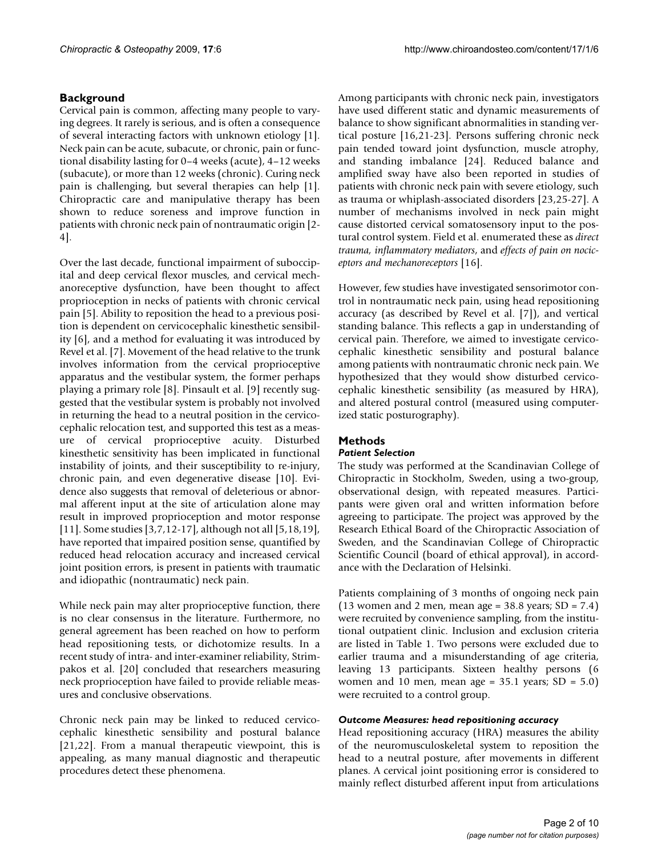# **Background**

Cervical pain is common, affecting many people to varying degrees. It rarely is serious, and is often a consequence of several interacting factors with unknown etiology [1]. Neck pain can be acute, subacute, or chronic, pain or functional disability lasting for 0–4 weeks (acute), 4–12 weeks (subacute), or more than 12 weeks (chronic). Curing neck pain is challenging, but several therapies can help [1]. Chiropractic care and manipulative therapy has been shown to reduce soreness and improve function in patients with chronic neck pain of nontraumatic origin [2- 4].

Over the last decade, functional impairment of suboccipital and deep cervical flexor muscles, and cervical mechanoreceptive dysfunction, have been thought to affect proprioception in necks of patients with chronic cervical pain [5]. Ability to reposition the head to a previous position is dependent on cervicocephalic kinesthetic sensibility [6], and a method for evaluating it was introduced by Revel et al. [7]. Movement of the head relative to the trunk involves information from the cervical proprioceptive apparatus and the vestibular system, the former perhaps playing a primary role [8]. Pinsault et al. [9] recently suggested that the vestibular system is probably not involved in returning the head to a neutral position in the cervicocephalic relocation test, and supported this test as a measure of cervical proprioceptive acuity. Disturbed kinesthetic sensitivity has been implicated in functional instability of joints, and their susceptibility to re-injury, chronic pain, and even degenerative disease [10]. Evidence also suggests that removal of deleterious or abnormal afferent input at the site of articulation alone may result in improved proprioception and motor response [11]. Some studies [3,7,12-17], although not all [5,18,19], have reported that impaired position sense, quantified by reduced head relocation accuracy and increased cervical joint position errors, is present in patients with traumatic and idiopathic (nontraumatic) neck pain.

While neck pain may alter proprioceptive function, there is no clear consensus in the literature. Furthermore, no general agreement has been reached on how to perform head repositioning tests, or dichotomize results. In a recent study of intra- and inter-examiner reliability, Strimpakos et al. [20] concluded that researchers measuring neck proprioception have failed to provide reliable measures and conclusive observations.

Chronic neck pain may be linked to reduced cervicocephalic kinesthetic sensibility and postural balance [21,22]. From a manual therapeutic viewpoint, this is appealing, as many manual diagnostic and therapeutic procedures detect these phenomena.

Among participants with chronic neck pain, investigators have used different static and dynamic measurements of balance to show significant abnormalities in standing vertical posture [16,21-23]. Persons suffering chronic neck pain tended toward joint dysfunction, muscle atrophy, and standing imbalance [24]. Reduced balance and amplified sway have also been reported in studies of patients with chronic neck pain with severe etiology, such as trauma or whiplash-associated disorders [23,25-27]. A number of mechanisms involved in neck pain might cause distorted cervical somatosensory input to the postural control system. Field et al. enumerated these as *direct trauma, inflammatory mediators*, and *effects of pain on nociceptors and mechanoreceptors* [16].

However, few studies have investigated sensorimotor control in nontraumatic neck pain, using head repositioning accuracy (as described by Revel et al. [7]), and vertical standing balance. This reflects a gap in understanding of cervical pain. Therefore, we aimed to investigate cervicocephalic kinesthetic sensibility and postural balance among patients with nontraumatic chronic neck pain. We hypothesized that they would show disturbed cervicocephalic kinesthetic sensibility (as measured by HRA), and altered postural control (measured using computerized static posturography).

# **Methods**

# *Patient Selection*

The study was performed at the Scandinavian College of Chiropractic in Stockholm, Sweden, using a two-group, observational design, with repeated measures. Participants were given oral and written information before agreeing to participate. The project was approved by the Research Ethical Board of the Chiropractic Association of Sweden, and the Scandinavian College of Chiropractic Scientific Council (board of ethical approval), in accordance with the Declaration of Helsinki.

Patients complaining of 3 months of ongoing neck pain (13 women and 2 men, mean age =  $38.8$  years; SD =  $7.4$ ) were recruited by convenience sampling, from the institutional outpatient clinic. Inclusion and exclusion criteria are listed in Table 1. Two persons were excluded due to earlier trauma and a misunderstanding of age criteria, leaving 13 participants. Sixteen healthy persons (6 women and 10 men, mean age =  $35.1$  years; SD =  $5.0$ ) were recruited to a control group.

# *Outcome Measures: head repositioning accuracy*

Head repositioning accuracy (HRA) measures the ability of the neuromusculoskeletal system to reposition the head to a neutral posture, after movements in different planes. A cervical joint positioning error is considered to mainly reflect disturbed afferent input from articulations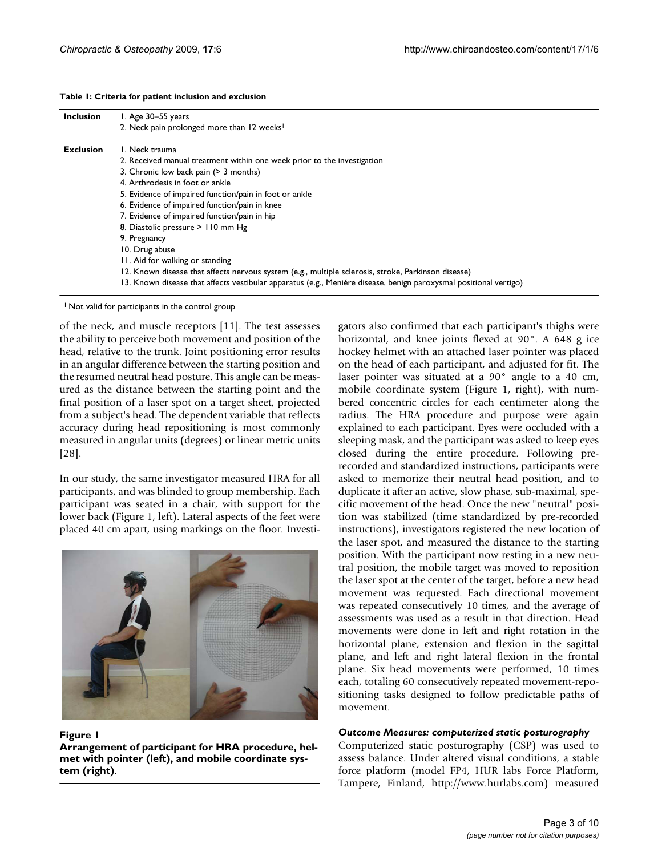|  |  |  |  |  |  |  | Table 1: Criteria for patient inclusion and exclusion |
|--|--|--|--|--|--|--|-------------------------------------------------------|
|--|--|--|--|--|--|--|-------------------------------------------------------|

| <b>Inclusion</b> | $I.$ Age $30-55$ years                                                                                            |  |  |  |  |  |  |  |  |  |
|------------------|-------------------------------------------------------------------------------------------------------------------|--|--|--|--|--|--|--|--|--|
|                  | 2. Neck pain prolonged more than 12 weeks <sup>1</sup>                                                            |  |  |  |  |  |  |  |  |  |
| <b>Exclusion</b> | I. Neck trauma                                                                                                    |  |  |  |  |  |  |  |  |  |
|                  | 2. Received manual treatment within one week prior to the investigation                                           |  |  |  |  |  |  |  |  |  |
|                  | 3. Chronic low back pain (> 3 months)                                                                             |  |  |  |  |  |  |  |  |  |
|                  | 4. Arthrodesis in foot or ankle                                                                                   |  |  |  |  |  |  |  |  |  |
|                  | 5. Evidence of impaired function/pain in foot or ankle                                                            |  |  |  |  |  |  |  |  |  |
|                  | 6. Evidence of impaired function/pain in knee                                                                     |  |  |  |  |  |  |  |  |  |
|                  | 7. Evidence of impaired function/pain in hip                                                                      |  |  |  |  |  |  |  |  |  |
|                  | 8. Diastolic pressure > 110 mm Hg                                                                                 |  |  |  |  |  |  |  |  |  |
|                  | 9. Pregnancy                                                                                                      |  |  |  |  |  |  |  |  |  |
|                  | 10. Drug abuse                                                                                                    |  |  |  |  |  |  |  |  |  |
|                  | 11. Aid for walking or standing                                                                                   |  |  |  |  |  |  |  |  |  |
|                  | 12. Known disease that affects nervous system (e.g., multiple sclerosis, stroke, Parkinson disease)               |  |  |  |  |  |  |  |  |  |
|                  | 13. Known disease that affects vestibular apparatus (e.g., Meniére disease, benign paroxysmal positional vertigo) |  |  |  |  |  |  |  |  |  |

<sup>1</sup> Not valid for participants in the control group

of the neck, and muscle receptors [11]. The test assesses the ability to perceive both movement and position of the head, relative to the trunk. Joint positioning error results in an angular difference between the starting position and the resumed neutral head posture. This angle can be measured as the distance between the starting point and the final position of a laser spot on a target sheet, projected from a subject's head. The dependent variable that reflects accuracy during head repositioning is most commonly measured in angular units (degrees) or linear metric units [28].

In our study, the same investigator measured HRA for all participants, and was blinded to group membership. Each participant was seated in a chair, with support for the lower back (Figure 1, left). Lateral aspects of the feet were placed 40 cm apart, using markings on the floor. Investi-



Figure 1

**Arrangement of participant for HRA procedure, helmet with pointer (left), and mobile coordinate system (right)**.

gators also confirmed that each participant's thighs were horizontal, and knee joints flexed at 90°. A 648 g ice hockey helmet with an attached laser pointer was placed on the head of each participant, and adjusted for fit. The laser pointer was situated at a 90° angle to a 40 cm, mobile coordinate system (Figure 1, right), with numbered concentric circles for each centimeter along the radius. The HRA procedure and purpose were again explained to each participant. Eyes were occluded with a sleeping mask, and the participant was asked to keep eyes closed during the entire procedure. Following prerecorded and standardized instructions, participants were asked to memorize their neutral head position, and to duplicate it after an active, slow phase, sub-maximal, specific movement of the head. Once the new "neutral" position was stabilized (time standardized by pre-recorded instructions), investigators registered the new location of the laser spot, and measured the distance to the starting position. With the participant now resting in a new neutral position, the mobile target was moved to reposition the laser spot at the center of the target, before a new head movement was requested. Each directional movement was repeated consecutively 10 times, and the average of assessments was used as a result in that direction. Head movements were done in left and right rotation in the horizontal plane, extension and flexion in the sagittal plane, and left and right lateral flexion in the frontal plane. Six head movements were performed, 10 times each, totaling 60 consecutively repeated movement-repositioning tasks designed to follow predictable paths of movement.

# *Outcome Measures: computerized static posturography*

Computerized static posturography (CSP) was used to assess balance. Under altered visual conditions, a stable force platform (model FP4, HUR labs Force Platform, Tampere, Finland, <http://www.hurlabs.com>) measured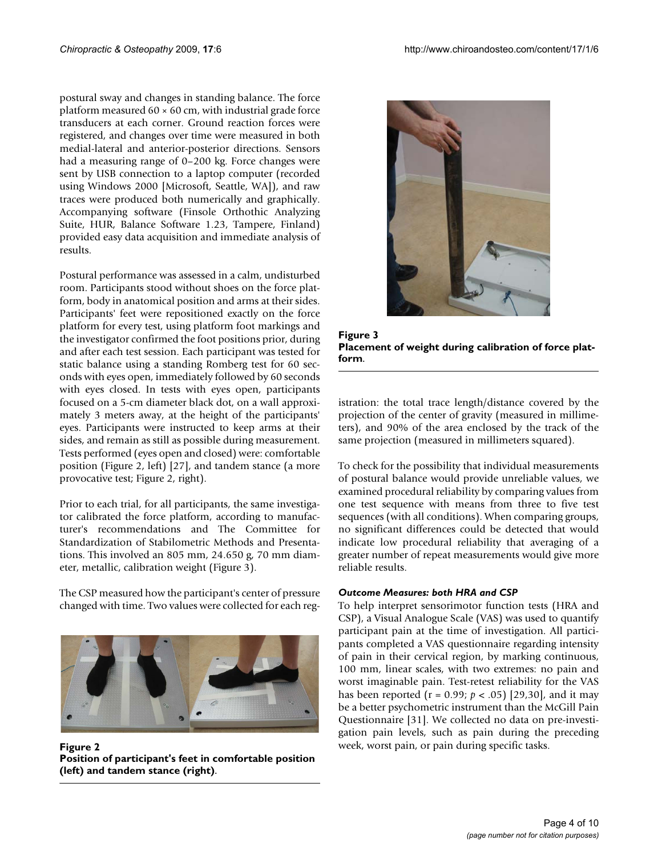postural sway and changes in standing balance. The force platform measured  $60 \times 60$  cm, with industrial grade force transducers at each corner. Ground reaction forces were registered, and changes over time were measured in both medial-lateral and anterior-posterior directions. Sensors had a measuring range of 0–200 kg. Force changes were sent by USB connection to a laptop computer (recorded using Windows 2000 [Microsoft, Seattle, WA]), and raw traces were produced both numerically and graphically. Accompanying software (Finsole Orthothic Analyzing Suite, HUR, Balance Software 1.23, Tampere, Finland) provided easy data acquisition and immediate analysis of results.

Postural performance was assessed in a calm, undisturbed room. Participants stood without shoes on the force platform, body in anatomical position and arms at their sides. Participants' feet were repositioned exactly on the force platform for every test, using platform foot markings and the investigator confirmed the foot positions prior, during and after each test session. Each participant was tested for static balance using a standing Romberg test for 60 seconds with eyes open, immediately followed by 60 seconds with eyes closed. In tests with eyes open, participants focused on a 5-cm diameter black dot, on a wall approximately 3 meters away, at the height of the participants' eyes. Participants were instructed to keep arms at their sides, and remain as still as possible during measurement. Tests performed (eyes open and closed) were: comfortable position (Figure 2, left) [27], and tandem stance (a more provocative test; Figure 2, right).

Prior to each trial, for all participants, the same investigator calibrated the force platform, according to manufacturer's recommendations and The Committee for Standardization of Stabilometric Methods and Presentations. This involved an 805 mm, 24.650 g, 70 mm diameter, metallic, calibration weight (Figure 3).

The CSP measured how the participant's center of pressure changed with time. Two values were collected for each reg-



**Pigure 2 Position of pain during specific tasks.** tandem standard veek, worst pain, or pain during specific tasks. **Position of participant's feet in comfortable position (left) and tandem stance (right)**.



**Figure 3 Placement of weight during calibration of force platform**.

istration: the total trace length/distance covered by the projection of the center of gravity (measured in millimeters), and 90% of the area enclosed by the track of the same projection (measured in millimeters squared).

To check for the possibility that individual measurements of postural balance would provide unreliable values, we examined procedural reliability by comparing values from one test sequence with means from three to five test sequences (with all conditions). When comparing groups, no significant differences could be detected that would indicate low procedural reliability that averaging of a greater number of repeat measurements would give more reliable results.

# *Outcome Measures: both HRA and CSP*

To help interpret sensorimotor function tests (HRA and CSP), a Visual Analogue Scale (VAS) was used to quantify participant pain at the time of investigation. All participants completed a VAS questionnaire regarding intensity of pain in their cervical region, by marking continuous, 100 mm, linear scales, with two extremes: no pain and worst imaginable pain. Test-retest reliability for the VAS has been reported (r = 0.99; *p* < .05) [29,30], and it may be a better psychometric instrument than the McGill Pain Questionnaire [31]. We collected no data on pre-investigation pain levels, such as pain during the preceding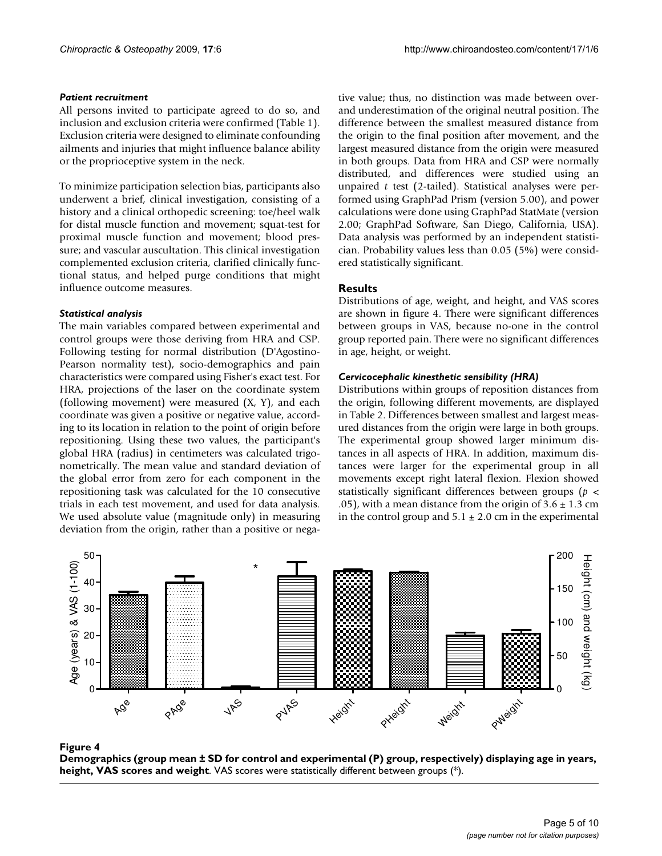#### *Patient recruitment*

All persons invited to participate agreed to do so, and inclusion and exclusion criteria were confirmed (Table 1). Exclusion criteria were designed to eliminate confounding ailments and injuries that might influence balance ability or the proprioceptive system in the neck.

To minimize participation selection bias, participants also underwent a brief, clinical investigation, consisting of a history and a clinical orthopedic screening: toe/heel walk for distal muscle function and movement; squat-test for proximal muscle function and movement; blood pressure; and vascular auscultation. This clinical investigation complemented exclusion criteria, clarified clinically functional status, and helped purge conditions that might influence outcome measures.

#### *Statistical analysis*

The main variables compared between experimental and control groups were those deriving from HRA and CSP. Following testing for normal distribution (D'Agostino-Pearson normality test), socio-demographics and pain characteristics were compared using Fisher's exact test. For HRA, projections of the laser on the coordinate system (following movement) were measured (X, Y), and each coordinate was given a positive or negative value, according to its location in relation to the point of origin before repositioning. Using these two values, the participant's global HRA (radius) in centimeters was calculated trigonometrically. The mean value and standard deviation of the global error from zero for each component in the repositioning task was calculated for the 10 consecutive trials in each test movement, and used for data analysis. We used absolute value (magnitude only) in measuring deviation from the origin, rather than a positive or negative value; thus, no distinction was made between overand underestimation of the original neutral position. The difference between the smallest measured distance from the origin to the final position after movement, and the largest measured distance from the origin were measured in both groups. Data from HRA and CSP were normally distributed, and differences were studied using an unpaired *t* test (2-tailed). Statistical analyses were performed using GraphPad Prism (version 5.00), and power calculations were done using GraphPad StatMate (version 2.00; GraphPad Software, San Diego, California, USA). Data analysis was performed by an independent statistician. Probability values less than 0.05 (5%) were considered statistically significant.

# **Results**

Distributions of age, weight, and height, and VAS scores are shown in figure 4. There were significant differences between groups in VAS, because no-one in the control group reported pain. There were no significant differences in age, height, or weight.

#### *Cervicocephalic kinesthetic sensibility (HRA)*

Distributions within groups of reposition distances from the origin, following different movements, are displayed in Table 2. Differences between smallest and largest measured distances from the origin were large in both groups. The experimental group showed larger minimum distances in all aspects of HRA. In addition, maximum distances were larger for the experimental group in all movements except right lateral flexion. Flexion showed statistically significant differences between groups (*p* < .05), with a mean distance from the origin of  $3.6 \pm 1.3$  cm in the control group and  $5.1 \pm 2.0$  cm in the experimental



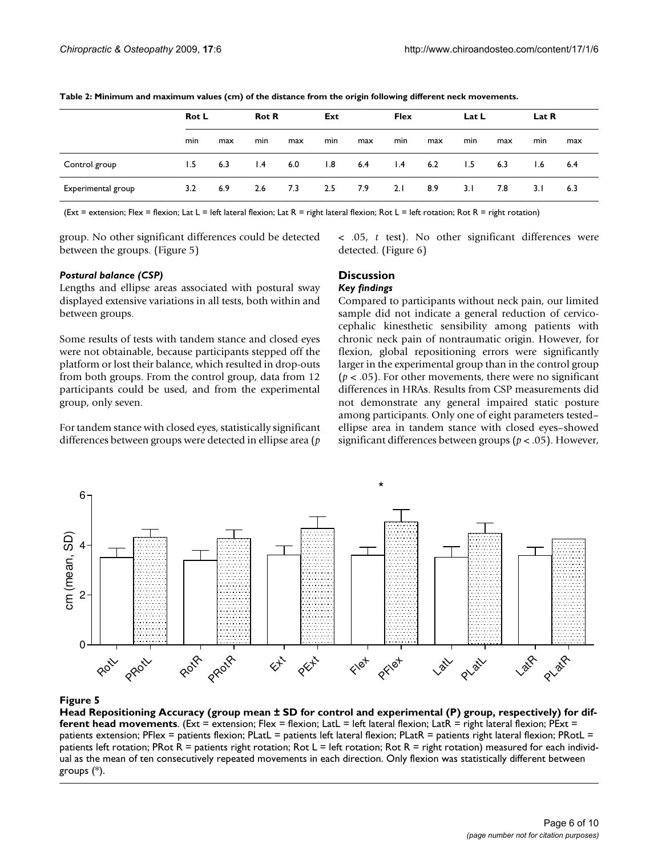|                    | <b>Rot L</b> |     | <b>Rot R</b> |     | Ext |     | <b>Flex</b>     |     | Lat L |     | Lat R |     |
|--------------------|--------------|-----|--------------|-----|-----|-----|-----------------|-----|-------|-----|-------|-----|
|                    | min          | max | min          | max | min | max | min             | max | min   | max | min   | max |
| Control group      | 1.5          | 6.3 | 1.4          | 6.0 | 1.8 | 6.4 | $\mathsf{I}$ .4 | 6.2 | 1.5   | 6.3 | 1.6   | 6.4 |
| Experimental group | 3.2          | 6.9 | 2.6          | 7.3 | 2.5 | 7.9 | 2.1             | 8.9 | 3.1   | 7.8 | 3. I  | 6.3 |

**Table 2: Minimum and maximum values (cm) of the distance from the origin following different neck movements.**

(Ext = extension; Flex = flexion; Lat L = left lateral flexion; Lat R = right lateral flexion; Rot L = left rotation; Rot R = right rotation)

group. No other significant differences could be detected between the groups. (Figure 5)

# < .05, *t* test). No other significant differences were detected. (Figure 6)

#### *Postural balance (CSP)*

Lengths and ellipse areas associated with postural sway displayed extensive variations in all tests, both within and between groups.

Some results of tests with tandem stance and closed eyes were not obtainable, because participants stepped off the platform or lost their balance, which resulted in drop-outs from both groups. From the control group, data from 12 participants could be used, and from the experimental group, only seven.

For tandem stance with closed eyes, statistically significant differences between groups were detected in ellipse area (*p*

# **Discussion**

#### *Key findings*

Compared to participants without neck pain, our limited sample did not indicate a general reduction of cervicocephalic kinesthetic sensibility among patients with chronic neck pain of nontraumatic origin. However, for flexion, global repositioning errors were significantly larger in the experimental group than in the control group  $(p < .05)$ . For other movements, there were no significant differences in HRAs. Results from CSP measurements did not demonstrate any general impaired static posture among participants. Only one of eight parameters tested– ellipse area in tandem stance with closed eyes–showed significant differences between groups (*p* < .05). However,



#### Head Repositioning Accuracy (group mean ± ments **Figure 5** SD for control and experimental (P) group, respectively) for different head move-

**Head Repositioning Accuracy (group mean ± SD for control and experimental (P) group, respectively) for different head movements**. (Ext = extension; Flex = flexion; LatL = left lateral flexion; LatR = right lateral flexion; PExt = patients extension; PFlex = patients flexion; PLatL = patients left lateral flexion; PLatR = patients right lateral flexion; PRotL = patients left rotation; PRot R = patients right rotation; Rot L = left rotation; Rot R = right rotation) measured for each individual as the mean of ten consecutively repeated movements in each direction. Only flexion was statistically different between groups (\*).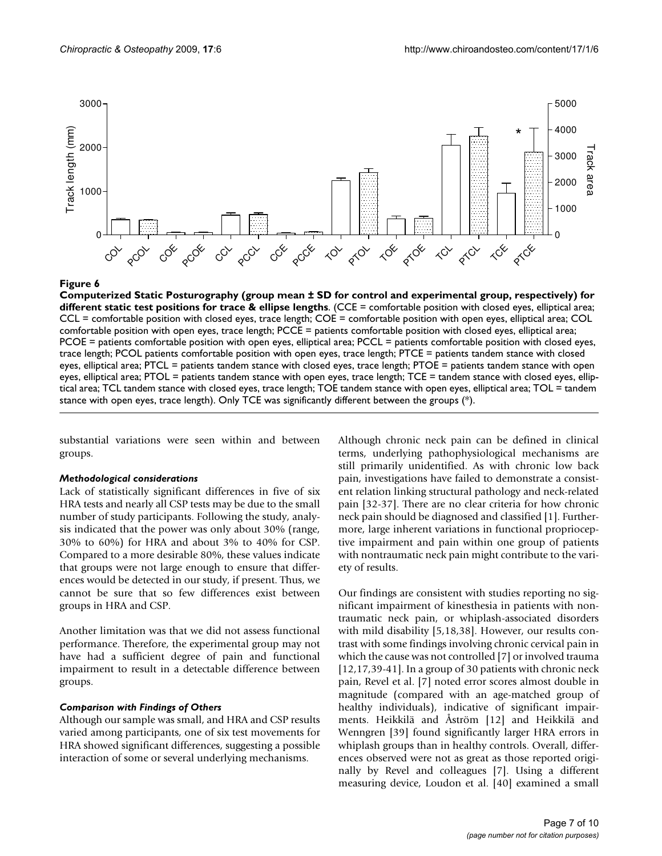

#### Computerized Static Posturography (group me test positions for trace & ellipse lengths **Figure 6** an ± SD for control and experimental group, respectively) for different static

**Computerized Static Posturography (group mean ± SD for control and experimental group, respectively) for different static test positions for trace & ellipse lengths**. (CCE = comfortable position with closed eyes, elliptical area; CCL = comfortable position with closed eyes, trace length; COE = comfortable position with open eyes, elliptical area; COL comfortable position with open eyes, trace length; PCCE = patients comfortable position with closed eyes, elliptical area; PCOE = patients comfortable position with open eyes, elliptical area; PCCL = patients comfortable position with closed eyes, trace length; PCOL patients comfortable position with open eyes, trace length; PTCE = patients tandem stance with closed eyes, elliptical area; PTCL = patients tandem stance with closed eyes, trace length; PTOE = patients tandem stance with open eyes, elliptical area; PTOL = patients tandem stance with open eyes, trace length; TCE = tandem stance with closed eyes, elliptical area; TCL tandem stance with closed eyes, trace length; TOE tandem stance with open eyes, elliptical area; TOL = tandem stance with open eyes, trace length). Only TCE was significantly different between the groups (\*).

substantial variations were seen within and between groups.

#### *Methodological considerations*

Lack of statistically significant differences in five of six HRA tests and nearly all CSP tests may be due to the small number of study participants. Following the study, analysis indicated that the power was only about 30% (range, 30% to 60%) for HRA and about 3% to 40% for CSP. Compared to a more desirable 80%, these values indicate that groups were not large enough to ensure that differences would be detected in our study, if present. Thus, we cannot be sure that so few differences exist between groups in HRA and CSP.

Another limitation was that we did not assess functional performance. Therefore, the experimental group may not have had a sufficient degree of pain and functional impairment to result in a detectable difference between groups.

#### *Comparison with Findings of Others*

Although our sample was small, and HRA and CSP results varied among participants, one of six test movements for HRA showed significant differences, suggesting a possible interaction of some or several underlying mechanisms.

Although chronic neck pain can be defined in clinical terms, underlying pathophysiological mechanisms are still primarily unidentified. As with chronic low back pain, investigations have failed to demonstrate a consistent relation linking structural pathology and neck-related pain [32-37]. There are no clear criteria for how chronic neck pain should be diagnosed and classified [1]. Furthermore, large inherent variations in functional proprioceptive impairment and pain within one group of patients with nontraumatic neck pain might contribute to the variety of results.

Our findings are consistent with studies reporting no significant impairment of kinesthesia in patients with nontraumatic neck pain, or whiplash-associated disorders with mild disability [5,18,38]. However, our results contrast with some findings involving chronic cervical pain in which the cause was not controlled [7] or involved trauma [12,17,39-41]. In a group of 30 patients with chronic neck pain, Revel et al. [7] noted error scores almost double in magnitude (compared with an age-matched group of healthy individuals), indicative of significant impairments. Heikkilä and Åström [12] and Heikkilä and Wenngren [39] found significantly larger HRA errors in whiplash groups than in healthy controls. Overall, differences observed were not as great as those reported originally by Revel and colleagues [7]. Using a different measuring device, Loudon et al. [40] examined a small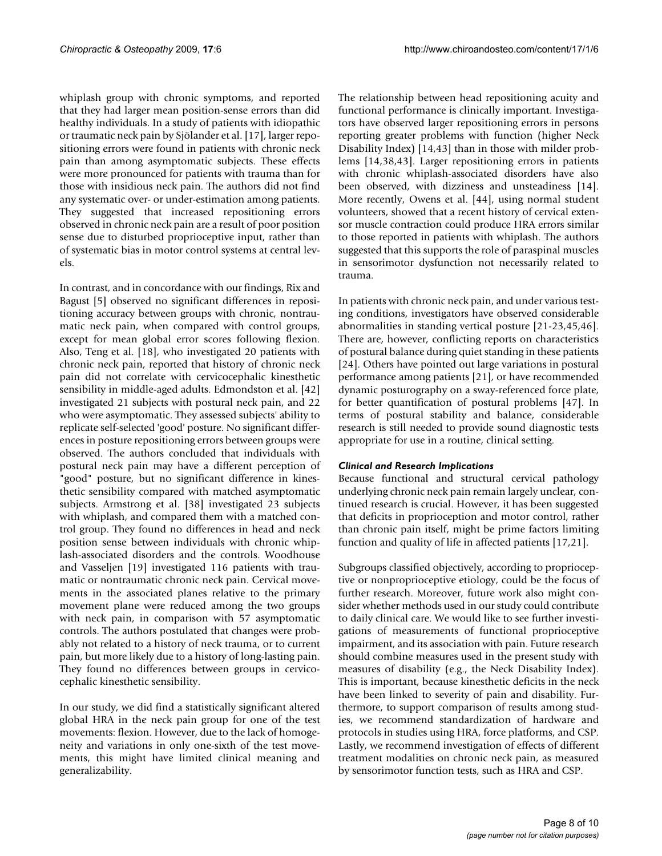whiplash group with chronic symptoms, and reported that they had larger mean position-sense errors than did healthy individuals. In a study of patients with idiopathic or traumatic neck pain by Sjölander et al. [17], larger repositioning errors were found in patients with chronic neck pain than among asymptomatic subjects. These effects were more pronounced for patients with trauma than for those with insidious neck pain. The authors did not find any systematic over- or under-estimation among patients. They suggested that increased repositioning errors observed in chronic neck pain are a result of poor position sense due to disturbed proprioceptive input, rather than of systematic bias in motor control systems at central levels.

In contrast, and in concordance with our findings, Rix and Bagust [5] observed no significant differences in repositioning accuracy between groups with chronic, nontraumatic neck pain, when compared with control groups, except for mean global error scores following flexion. Also, Teng et al. [18], who investigated 20 patients with chronic neck pain, reported that history of chronic neck pain did not correlate with cervicocephalic kinesthetic sensibility in middle-aged adults. Edmondston et al. [42] investigated 21 subjects with postural neck pain, and 22 who were asymptomatic. They assessed subjects' ability to replicate self-selected 'good' posture. No significant differences in posture repositioning errors between groups were observed. The authors concluded that individuals with postural neck pain may have a different perception of "good" posture, but no significant difference in kinesthetic sensibility compared with matched asymptomatic subjects. Armstrong et al. [38] investigated 23 subjects with whiplash, and compared them with a matched control group. They found no differences in head and neck position sense between individuals with chronic whiplash-associated disorders and the controls. Woodhouse and Vasseljen [19] investigated 116 patients with traumatic or nontraumatic chronic neck pain. Cervical movements in the associated planes relative to the primary movement plane were reduced among the two groups with neck pain, in comparison with 57 asymptomatic controls. The authors postulated that changes were probably not related to a history of neck trauma, or to current pain, but more likely due to a history of long-lasting pain. They found no differences between groups in cervicocephalic kinesthetic sensibility.

In our study, we did find a statistically significant altered global HRA in the neck pain group for one of the test movements: flexion. However, due to the lack of homogeneity and variations in only one-sixth of the test movements, this might have limited clinical meaning and generalizability.

The relationship between head repositioning acuity and functional performance is clinically important. Investigators have observed larger repositioning errors in persons reporting greater problems with function (higher Neck Disability Index) [14,43] than in those with milder problems [14,38,43]. Larger repositioning errors in patients with chronic whiplash-associated disorders have also been observed, with dizziness and unsteadiness [14]. More recently, Owens et al. [44], using normal student volunteers, showed that a recent history of cervical extensor muscle contraction could produce HRA errors similar to those reported in patients with whiplash. The authors suggested that this supports the role of paraspinal muscles in sensorimotor dysfunction not necessarily related to trauma.

In patients with chronic neck pain, and under various testing conditions, investigators have observed considerable abnormalities in standing vertical posture [21-23,45,46]. There are, however, conflicting reports on characteristics of postural balance during quiet standing in these patients [24]. Others have pointed out large variations in postural performance among patients [21], or have recommended dynamic posturography on a sway-referenced force plate, for better quantification of postural problems [47]. In terms of postural stability and balance, considerable research is still needed to provide sound diagnostic tests appropriate for use in a routine, clinical setting.

#### *Clinical and Research Implications*

Because functional and structural cervical pathology underlying chronic neck pain remain largely unclear, continued research is crucial. However, it has been suggested that deficits in proprioception and motor control, rather than chronic pain itself, might be prime factors limiting function and quality of life in affected patients [17,21].

Subgroups classified objectively, according to proprioceptive or nonproprioceptive etiology, could be the focus of further research. Moreover, future work also might consider whether methods used in our study could contribute to daily clinical care. We would like to see further investigations of measurements of functional proprioceptive impairment, and its association with pain. Future research should combine measures used in the present study with measures of disability (e.g., the Neck Disability Index). This is important, because kinesthetic deficits in the neck have been linked to severity of pain and disability. Furthermore, to support comparison of results among studies, we recommend standardization of hardware and protocols in studies using HRA, force platforms, and CSP. Lastly, we recommend investigation of effects of different treatment modalities on chronic neck pain, as measured by sensorimotor function tests, such as HRA and CSP.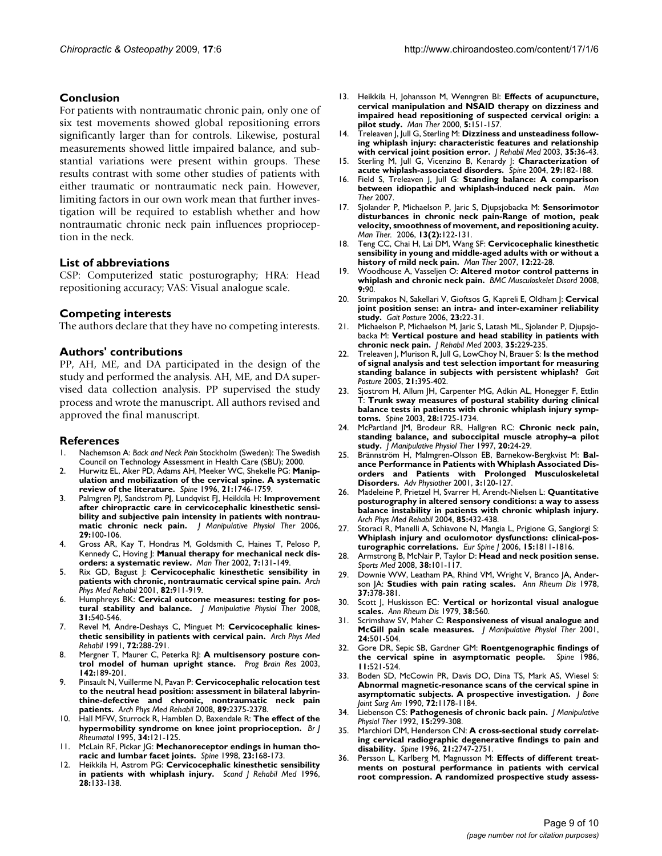#### **Conclusion**

For patients with nontraumatic chronic pain, only one of six test movements showed global repositioning errors significantly larger than for controls. Likewise, postural measurements showed little impaired balance, and substantial variations were present within groups. These results contrast with some other studies of patients with either traumatic or nontraumatic neck pain. However, limiting factors in our own work mean that further investigation will be required to establish whether and how nontraumatic chronic neck pain influences proprioception in the neck.

#### **List of abbreviations**

CSP: Computerized static posturography; HRA: Head repositioning accuracy; VAS: Visual analogue scale.

#### **Competing interests**

The authors declare that they have no competing interests.

#### **Authors' contributions**

PP, AH, ME, and DA participated in the design of the study and performed the analysis. AH, ME, and DA supervised data collection analysis. PP supervised the study process and wrote the manuscript. All authors revised and approved the final manuscript.

#### **References**

- 1. Nachemson A: *Back and Neck Pain* Stockholm (Sweden): The Swedish Council on Technology Assessment in Health Care (SBU); 2000.
- 2. Hurwitz EL, Aker PD, Adams AH, Meeker WC, Shekelle PG: **[Manip](http://www.ncbi.nlm.nih.gov/entrez/query.fcgi?cmd=Retrieve&db=PubMed&dopt=Abstract&list_uids=8855459)[ulation and mobilization of the cervical spine. A systematic](http://www.ncbi.nlm.nih.gov/entrez/query.fcgi?cmd=Retrieve&db=PubMed&dopt=Abstract&list_uids=8855459) [review of the literature.](http://www.ncbi.nlm.nih.gov/entrez/query.fcgi?cmd=Retrieve&db=PubMed&dopt=Abstract&list_uids=8855459)** *Spine* 1996, **21:**1746-1759.
- 3. Palmgren PJ, Sandstrom PJ, Lundqvist FJ, Heikkila H: **[Improvement](http://www.ncbi.nlm.nih.gov/entrez/query.fcgi?cmd=Retrieve&db=PubMed&dopt=Abstract&list_uids=16461168) [after chiropractic care in cervicocephalic kinesthetic sensi](http://www.ncbi.nlm.nih.gov/entrez/query.fcgi?cmd=Retrieve&db=PubMed&dopt=Abstract&list_uids=16461168)bility and subjective pain intensity in patients with nontrau[matic chronic neck pain.](http://www.ncbi.nlm.nih.gov/entrez/query.fcgi?cmd=Retrieve&db=PubMed&dopt=Abstract&list_uids=16461168)** *J Manipulative Physiol Ther* 2006, **29:**100-106.
- 4. Gross AR, Kay T, Hondras M, Goldsmith C, Haines T, Peloso P, Kennedy C, Hoving J: **[Manual therapy for mechanical neck dis](http://www.ncbi.nlm.nih.gov/entrez/query.fcgi?cmd=Retrieve&db=PubMed&dopt=Abstract&list_uids=12372310)[orders: a systematic review.](http://www.ncbi.nlm.nih.gov/entrez/query.fcgi?cmd=Retrieve&db=PubMed&dopt=Abstract&list_uids=12372310)** *Man Ther* 2002, **7:**131-149.
- 5. Rix GD, Bagust J: **[Cervicocephalic kinesthetic sensibility in](http://www.ncbi.nlm.nih.gov/entrez/query.fcgi?cmd=Retrieve&db=PubMed&dopt=Abstract&list_uids=11441377) [patients with chronic, nontraumatic cervical spine pain.](http://www.ncbi.nlm.nih.gov/entrez/query.fcgi?cmd=Retrieve&db=PubMed&dopt=Abstract&list_uids=11441377)** *Arch Phys Med Rehabil* 2001, **82:**911-919.
- 6. Humphreys BK: **[Cervical outcome measures: testing for pos](http://www.ncbi.nlm.nih.gov/entrez/query.fcgi?cmd=Retrieve&db=PubMed&dopt=Abstract&list_uids=18804005)[tural stability and balance.](http://www.ncbi.nlm.nih.gov/entrez/query.fcgi?cmd=Retrieve&db=PubMed&dopt=Abstract&list_uids=18804005)** *J Manipulative Physiol Ther* 2008, **31:**540-546.
- 7. Revel M, Andre-Deshays C, Minguet M: **[Cervicocephalic kines](http://www.ncbi.nlm.nih.gov/entrez/query.fcgi?cmd=Retrieve&db=PubMed&dopt=Abstract&list_uids=2009044)[thetic sensibility in patients with cervical pain.](http://www.ncbi.nlm.nih.gov/entrez/query.fcgi?cmd=Retrieve&db=PubMed&dopt=Abstract&list_uids=2009044)** *Arch Phys Med Rehabil* 1991, **72:**288-291.
- 8. Mergner T, Maurer C, Peterka RJ: **[A multisensory posture con](http://www.ncbi.nlm.nih.gov/entrez/query.fcgi?cmd=Retrieve&db=PubMed&dopt=Abstract&list_uids=12693262)[trol model of human upright stance.](http://www.ncbi.nlm.nih.gov/entrez/query.fcgi?cmd=Retrieve&db=PubMed&dopt=Abstract&list_uids=12693262)** *Prog Brain Res* 2003, **142:**189-201.
- 9. Pinsault N, Vuillerme N, Pavan P: **[Cervicocephalic relocation test](http://www.ncbi.nlm.nih.gov/entrez/query.fcgi?cmd=Retrieve&db=PubMed&dopt=Abstract&list_uids=19061750) [to the neutral head position: assessment in bilateral labyrin](http://www.ncbi.nlm.nih.gov/entrez/query.fcgi?cmd=Retrieve&db=PubMed&dopt=Abstract&list_uids=19061750)thine-defective and chronic, nontraumatic neck pain [patients.](http://www.ncbi.nlm.nih.gov/entrez/query.fcgi?cmd=Retrieve&db=PubMed&dopt=Abstract&list_uids=19061750)** *Arch Phys Med Rehabil* 2008, **89:**2375-2378.
- 10. Hall MFW, Sturrock R, Hamblen D, Baxendale R: **[The effect of the](http://www.ncbi.nlm.nih.gov/entrez/query.fcgi?cmd=Retrieve&db=PubMed&dopt=Abstract&list_uids=7704456) [hypermobility syndrome on knee joint proprioception.](http://www.ncbi.nlm.nih.gov/entrez/query.fcgi?cmd=Retrieve&db=PubMed&dopt=Abstract&list_uids=7704456)** *Br J Rheumatol* 1995, **34:**121-125.
- 11. McLain RF, Pickar JG: **[Mechanoreceptor endings in human tho](http://www.ncbi.nlm.nih.gov/entrez/query.fcgi?cmd=Retrieve&db=PubMed&dopt=Abstract&list_uids=9474721)[racic and lumbar facet joints.](http://www.ncbi.nlm.nih.gov/entrez/query.fcgi?cmd=Retrieve&db=PubMed&dopt=Abstract&list_uids=9474721)** *Spine* 1998, **23:**168-173.
- 12. Heikkila H, Astrom PG: **[Cervicocephalic kinesthetic sensibility](http://www.ncbi.nlm.nih.gov/entrez/query.fcgi?cmd=Retrieve&db=PubMed&dopt=Abstract&list_uids=8885035) [in patients with whiplash injury.](http://www.ncbi.nlm.nih.gov/entrez/query.fcgi?cmd=Retrieve&db=PubMed&dopt=Abstract&list_uids=8885035)** *Scand J Rehabil Med* 1996, **28:**133-138.
- 13. Heikkila H, Johansson M, Wenngren BI: **[Effects of acupuncture,](http://www.ncbi.nlm.nih.gov/entrez/query.fcgi?cmd=Retrieve&db=PubMed&dopt=Abstract&list_uids=11034885) [cervical manipulation and NSAID therapy on dizziness and](http://www.ncbi.nlm.nih.gov/entrez/query.fcgi?cmd=Retrieve&db=PubMed&dopt=Abstract&list_uids=11034885) impaired head repositioning of suspected cervical origin: a [pilot study.](http://www.ncbi.nlm.nih.gov/entrez/query.fcgi?cmd=Retrieve&db=PubMed&dopt=Abstract&list_uids=11034885)** *Man Ther* 2000, **5:**151-157.
- 14. Treleaven J, Jull G, Sterling M: **[Dizziness and unsteadiness follow](http://www.ncbi.nlm.nih.gov/entrez/query.fcgi?cmd=Retrieve&db=PubMed&dopt=Abstract&list_uids=12610847)[ing whiplash injury: characteristic features and relationship](http://www.ncbi.nlm.nih.gov/entrez/query.fcgi?cmd=Retrieve&db=PubMed&dopt=Abstract&list_uids=12610847) [with cervical joint position error.](http://www.ncbi.nlm.nih.gov/entrez/query.fcgi?cmd=Retrieve&db=PubMed&dopt=Abstract&list_uids=12610847)** *J Rehabil Med* 2003, **35:**36-43.
- 15. Sterling M, Jull G, Vicenzino B, Kenardy J: **[Characterization of](http://www.ncbi.nlm.nih.gov/entrez/query.fcgi?cmd=Retrieve&db=PubMed&dopt=Abstract&list_uids=14722412) [acute whiplash-associated disorders.](http://www.ncbi.nlm.nih.gov/entrez/query.fcgi?cmd=Retrieve&db=PubMed&dopt=Abstract&list_uids=14722412)** *Spine* 2004, **29:**182-188.
- 16. Field S, Treleaven J, Jull G: **[Standing balance: A comparison](http://www.ncbi.nlm.nih.gov/entrez/query.fcgi?cmd=Retrieve&db=PubMed&dopt=Abstract&list_uids=17306599) [between idiopathic and whiplash-induced neck pain.](http://www.ncbi.nlm.nih.gov/entrez/query.fcgi?cmd=Retrieve&db=PubMed&dopt=Abstract&list_uids=17306599)** *Man Ther* 2007.
- 17. Sjolander P, Michaelson P, Jaric S, Djupsjobacka M: **Sensorimotor disturbances in chronic neck pain-Range of motion, peak velocity, smoothness of movement, and repositioning acuity.** *Man Ther.* 2006, **13(2):**122-131.
- 18. Teng CC, Chai H, Lai DM, Wang SF: **[Cervicocephalic kinesthetic](http://www.ncbi.nlm.nih.gov/entrez/query.fcgi?cmd=Retrieve&db=PubMed&dopt=Abstract&list_uids=16777468) [sensibility in young and middle-aged adults with or without a](http://www.ncbi.nlm.nih.gov/entrez/query.fcgi?cmd=Retrieve&db=PubMed&dopt=Abstract&list_uids=16777468) [history of mild neck pain.](http://www.ncbi.nlm.nih.gov/entrez/query.fcgi?cmd=Retrieve&db=PubMed&dopt=Abstract&list_uids=16777468)** *Man Ther* 2007, **12:**22-28.
- 19. Woodhouse A, Vasseljen O: **[Altered motor control patterns in](http://www.ncbi.nlm.nih.gov/entrez/query.fcgi?cmd=Retrieve&db=PubMed&dopt=Abstract&list_uids=18570647) [whiplash and chronic neck pain.](http://www.ncbi.nlm.nih.gov/entrez/query.fcgi?cmd=Retrieve&db=PubMed&dopt=Abstract&list_uids=18570647)** *BMC Musculoskelet Disord* 2008, **9:**90.
- 20. Strimpakos N, Sakellari V, Gioftsos G, Kapreli E, Oldham |: [Cervical](http://www.ncbi.nlm.nih.gov/entrez/query.fcgi?cmd=Retrieve&db=PubMed&dopt=Abstract&list_uids=16311191) **[joint position sense: an intra- and inter-examiner reliability](http://www.ncbi.nlm.nih.gov/entrez/query.fcgi?cmd=Retrieve&db=PubMed&dopt=Abstract&list_uids=16311191) [study.](http://www.ncbi.nlm.nih.gov/entrez/query.fcgi?cmd=Retrieve&db=PubMed&dopt=Abstract&list_uids=16311191)** *Gait Posture* 2006, **23:**22-31.
- Michaelson P, Michaelson M, Jaric S, Latash ML, Sjolander P, Djupsjobacka M: **[Vertical posture and head stability in patients with](http://www.ncbi.nlm.nih.gov/entrez/query.fcgi?cmd=Retrieve&db=PubMed&dopt=Abstract&list_uids=14582555) [chronic neck pain.](http://www.ncbi.nlm.nih.gov/entrez/query.fcgi?cmd=Retrieve&db=PubMed&dopt=Abstract&list_uids=14582555)** *J Rehabil Med* 2003, **35:**229-235.
- 22. Treleaven J, Murison R, Jull G, LowChoy N, Brauer S: **[Is the method](http://www.ncbi.nlm.nih.gov/entrez/query.fcgi?cmd=Retrieve&db=PubMed&dopt=Abstract&list_uids=15886129) [of signal analysis and test selection important for measuring](http://www.ncbi.nlm.nih.gov/entrez/query.fcgi?cmd=Retrieve&db=PubMed&dopt=Abstract&list_uids=15886129) [standing balance in subjects with persistent whiplash?](http://www.ncbi.nlm.nih.gov/entrez/query.fcgi?cmd=Retrieve&db=PubMed&dopt=Abstract&list_uids=15886129)** *Gait Posture* 2005, **21:**395-402.
- 23. Sjostrom H, Allum JH, Carpenter MG, Adkin AL, Honegger F, Ettlin T: **[Trunk sway measures of postural stability during clinical](http://www.ncbi.nlm.nih.gov/entrez/query.fcgi?cmd=Retrieve&db=PubMed&dopt=Abstract&list_uids=12897500) [balance tests in patients with chronic whiplash injury symp](http://www.ncbi.nlm.nih.gov/entrez/query.fcgi?cmd=Retrieve&db=PubMed&dopt=Abstract&list_uids=12897500)[toms.](http://www.ncbi.nlm.nih.gov/entrez/query.fcgi?cmd=Retrieve&db=PubMed&dopt=Abstract&list_uids=12897500)** *Spine* 2003, **28:**1725-1734.
- 24. McPartland JM, Brodeur RR, Hallgren RC: **[Chronic neck pain,](http://www.ncbi.nlm.nih.gov/entrez/query.fcgi?cmd=Retrieve&db=PubMed&dopt=Abstract&list_uids=9004119) [standing balance, and suboccipital muscle atrophy–a pilot](http://www.ncbi.nlm.nih.gov/entrez/query.fcgi?cmd=Retrieve&db=PubMed&dopt=Abstract&list_uids=9004119) [study.](http://www.ncbi.nlm.nih.gov/entrez/query.fcgi?cmd=Retrieve&db=PubMed&dopt=Abstract&list_uids=9004119)** *J Manipulative Physiol Ther* 1997, **20:**24-29.
- 25. Brännström H, Malmgren-Olsson EB, Barnekow-Bergkvist M: **Balance Performance in Patients with Whiplash Associated Disorders and Patients with Prolonged Musculoskeletal Disorders.** *Adv Physiother* 2001, **3:**120-127.
- 26. Madeleine P, Prietzel H, Svarrer H, Arendt-Nielsen L: **[Quantitative](http://www.ncbi.nlm.nih.gov/entrez/query.fcgi?cmd=Retrieve&db=PubMed&dopt=Abstract&list_uids=15031829) [posturography in altered sensory conditions: a way to assess](http://www.ncbi.nlm.nih.gov/entrez/query.fcgi?cmd=Retrieve&db=PubMed&dopt=Abstract&list_uids=15031829) balance instability in patients with chronic whiplash injury.** *Arch Phys Med Rehabil* 2004, **85:**432-438.
- 27. Storaci R, Manelli A, Schiavone N, Mangia L, Prigione G, Sangiorgi S: **[Whiplash injury and oculomotor dysfunctions: clinical-pos](http://www.ncbi.nlm.nih.gov/entrez/query.fcgi?cmd=Retrieve&db=PubMed&dopt=Abstract&list_uids=16552533)[turographic correlations.](http://www.ncbi.nlm.nih.gov/entrez/query.fcgi?cmd=Retrieve&db=PubMed&dopt=Abstract&list_uids=16552533)** *Eur Spine J* 2006, **15:**1811-1816.
- 28. Armstrong B, McNair P, Taylor D: **[Head and neck position sense.](http://www.ncbi.nlm.nih.gov/entrez/query.fcgi?cmd=Retrieve&db=PubMed&dopt=Abstract&list_uids=18201114)** *Sports Med* 2008, **38:**101-117.
- 29. Downie WW, Leatham PA, Rhind VM, Wright V, Branco JA, Anderson JA: **[Studies with pain rating scales.](http://www.ncbi.nlm.nih.gov/entrez/query.fcgi?cmd=Retrieve&db=PubMed&dopt=Abstract&list_uids=686873)** *Ann Rheum Dis* 1978, **37:**378-381.
- 30. Scott J, Huskisson EC: **[Vertical or horizontal visual analogue](http://www.ncbi.nlm.nih.gov/entrez/query.fcgi?cmd=Retrieve&db=PubMed&dopt=Abstract&list_uids=317239) [scales.](http://www.ncbi.nlm.nih.gov/entrez/query.fcgi?cmd=Retrieve&db=PubMed&dopt=Abstract&list_uids=317239)** *Ann Rheum Dis* 1979, **38:**560.
- Scrimshaw SV, Maher C: [Responsiveness of visual analogue and](http://www.ncbi.nlm.nih.gov/entrez/query.fcgi?cmd=Retrieve&db=PubMed&dopt=Abstract&list_uids=11677548) **[McGill pain scale measures.](http://www.ncbi.nlm.nih.gov/entrez/query.fcgi?cmd=Retrieve&db=PubMed&dopt=Abstract&list_uids=11677548)** *J Manipulative Physiol Ther* 2001, **24:**501-504.
- 32. Gore DR, Sepic SB, Gardner GM: **[Roentgenographic findings of](http://www.ncbi.nlm.nih.gov/entrez/query.fcgi?cmd=Retrieve&db=PubMed&dopt=Abstract&list_uids=3787320) [the cervical spine in asymptomatic people.](http://www.ncbi.nlm.nih.gov/entrez/query.fcgi?cmd=Retrieve&db=PubMed&dopt=Abstract&list_uids=3787320)** *Spine* 1986, **11:**521-524.
- 33. Boden SD, McCowin PR, Davis DO, Dina TS, Mark AS, Wiesel S: **[Abnormal magnetic-resonance scans of the cervical spine in](http://www.ncbi.nlm.nih.gov/entrez/query.fcgi?cmd=Retrieve&db=PubMed&dopt=Abstract&list_uids=2398088) [asymptomatic subjects. A prospective investigation.](http://www.ncbi.nlm.nih.gov/entrez/query.fcgi?cmd=Retrieve&db=PubMed&dopt=Abstract&list_uids=2398088)** *J Bone Joint Surg Am* 1990, **72:**1178-1184.
- 34. Liebenson CS: **[Pathogenesis of chronic back pain.](http://www.ncbi.nlm.nih.gov/entrez/query.fcgi?cmd=Retrieve&db=PubMed&dopt=Abstract&list_uids=1535360)** *J Manipulative Physiol Ther* 1992, **15:**299-308.
- 35. Marchiori DM, Henderson CN: **[A cross-sectional study correlat](http://www.ncbi.nlm.nih.gov/entrez/query.fcgi?cmd=Retrieve&db=PubMed&dopt=Abstract&list_uids=8979320)[ing cervical radiographic degenerative findings to pain and](http://www.ncbi.nlm.nih.gov/entrez/query.fcgi?cmd=Retrieve&db=PubMed&dopt=Abstract&list_uids=8979320) [disability.](http://www.ncbi.nlm.nih.gov/entrez/query.fcgi?cmd=Retrieve&db=PubMed&dopt=Abstract&list_uids=8979320)** *Spine* 1996, **21:**2747-2751.
- Persson L, Karlberg M, Magnusson M: [Effects of different treat](http://www.ncbi.nlm.nih.gov/entrez/query.fcgi?cmd=Retrieve&db=PubMed&dopt=Abstract&list_uids=8968971)**[ments on postural performance in patients with cervical](http://www.ncbi.nlm.nih.gov/entrez/query.fcgi?cmd=Retrieve&db=PubMed&dopt=Abstract&list_uids=8968971) [root compression. A randomized prospective study assess](http://www.ncbi.nlm.nih.gov/entrez/query.fcgi?cmd=Retrieve&db=PubMed&dopt=Abstract&list_uids=8968971)-**